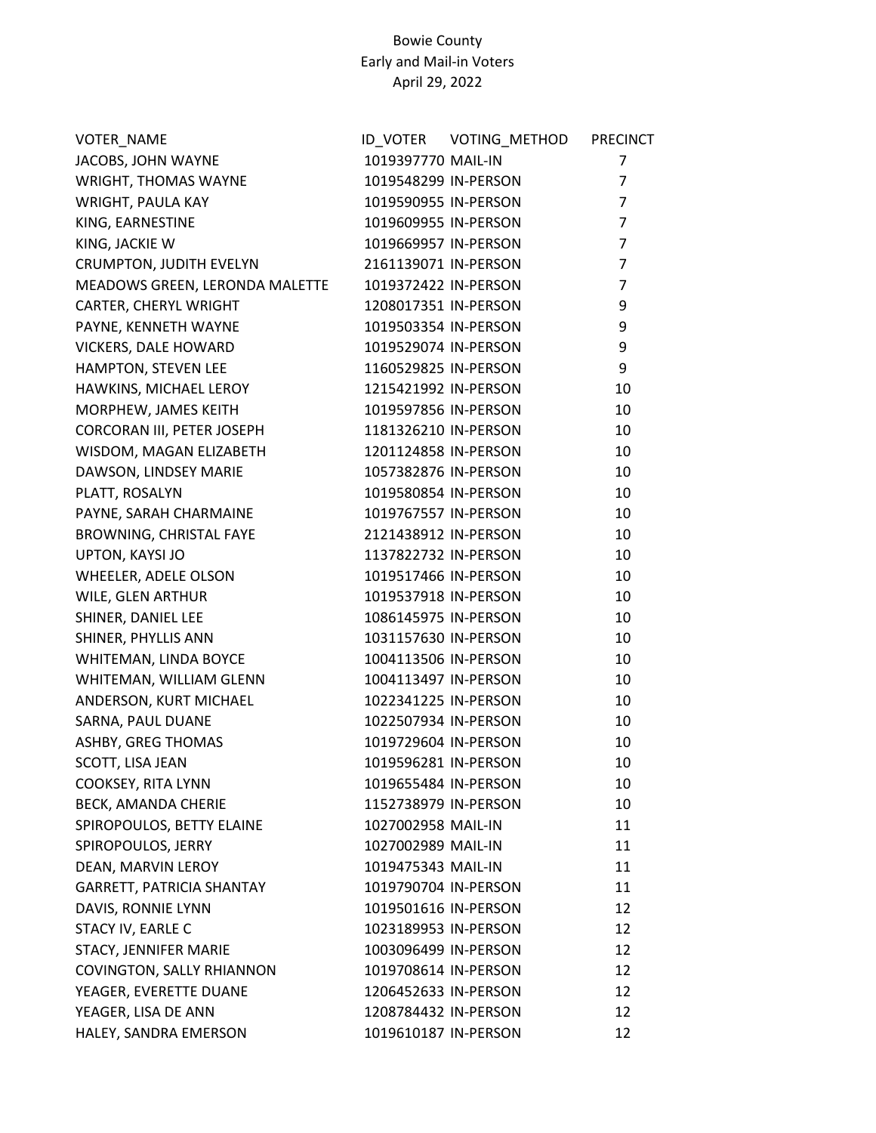| VOTER_NAME                     |                      | ID_VOTER    VOTING_METHOD | <b>PRECINCT</b> |
|--------------------------------|----------------------|---------------------------|-----------------|
| JACOBS, JOHN WAYNE             | 1019397770 MAIL-IN   |                           | $\overline{7}$  |
| WRIGHT, THOMAS WAYNE           | 1019548299 IN-PERSON |                           | $\overline{7}$  |
| <b>WRIGHT, PAULA KAY</b>       | 1019590955 IN-PERSON |                           | $\overline{7}$  |
| KING, EARNESTINE               | 1019609955 IN-PERSON |                           | $\overline{7}$  |
| KING, JACKIE W                 | 1019669957 IN-PERSON |                           | $\overline{7}$  |
| CRUMPTON, JUDITH EVELYN        | 2161139071 IN-PERSON |                           | $\overline{7}$  |
| MEADOWS GREEN, LERONDA MALETTE | 1019372422 IN-PERSON |                           | $\overline{7}$  |
| CARTER, CHERYL WRIGHT          | 1208017351 IN-PERSON |                           | 9               |
| PAYNE, KENNETH WAYNE           | 1019503354 IN-PERSON |                           | 9               |
| VICKERS, DALE HOWARD           | 1019529074 IN-PERSON |                           | 9               |
| HAMPTON, STEVEN LEE            | 1160529825 IN-PERSON |                           | 9               |
| HAWKINS, MICHAEL LEROY         | 1215421992 IN-PERSON |                           | 10              |
| MORPHEW, JAMES KEITH           | 1019597856 IN-PERSON |                           | 10              |
| CORCORAN III, PETER JOSEPH     | 1181326210 IN-PERSON |                           | 10              |
| WISDOM, MAGAN ELIZABETH        | 1201124858 IN-PERSON |                           | 10              |
| DAWSON, LINDSEY MARIE          | 1057382876 IN-PERSON |                           | 10              |
| PLATT, ROSALYN                 | 1019580854 IN-PERSON |                           | 10              |
| PAYNE, SARAH CHARMAINE         | 1019767557 IN-PERSON |                           | 10              |
| BROWNING, CHRISTAL FAYE        | 2121438912 IN-PERSON |                           | 10              |
| UPTON, KAYSI JO                | 1137822732 IN-PERSON |                           | 10              |
| WHEELER, ADELE OLSON           | 1019517466 IN-PERSON |                           | 10              |
| WILE, GLEN ARTHUR              | 1019537918 IN-PERSON |                           | 10              |
| SHINER, DANIEL LEE             | 1086145975 IN-PERSON |                           | 10              |
| SHINER, PHYLLIS ANN            | 1031157630 IN-PERSON |                           | 10              |
| WHITEMAN, LINDA BOYCE          | 1004113506 IN-PERSON |                           | 10              |
| WHITEMAN, WILLIAM GLENN        | 1004113497 IN-PERSON |                           | 10              |
| ANDERSON, KURT MICHAEL         | 1022341225 IN-PERSON |                           | 10              |
| SARNA, PAUL DUANE              | 1022507934 IN-PERSON |                           | 10              |
| ASHBY, GREG THOMAS             | 1019729604 IN-PERSON |                           | 10              |
| SCOTT, LISA JEAN               | 1019596281 IN-PERSON |                           | 10              |
| COOKSEY, RITA LYNN             | 1019655484 IN-PERSON |                           | 10              |
| BECK, AMANDA CHERIE            | 1152738979 IN-PERSON |                           | 10              |
| SPIROPOULOS, BETTY ELAINE      | 1027002958 MAIL-IN   |                           | 11              |
| SPIROPOULOS, JERRY             | 1027002989 MAIL-IN   |                           | 11              |
| DEAN, MARVIN LEROY             | 1019475343 MAIL-IN   |                           | 11              |
| GARRETT, PATRICIA SHANTAY      | 1019790704 IN-PERSON |                           | 11              |
| DAVIS, RONNIE LYNN             | 1019501616 IN-PERSON |                           | 12              |
| STACY IV, EARLE C              | 1023189953 IN-PERSON |                           | 12              |
| STACY, JENNIFER MARIE          | 1003096499 IN-PERSON |                           | 12              |
| COVINGTON, SALLY RHIANNON      | 1019708614 IN-PERSON |                           | 12              |
| YEAGER, EVERETTE DUANE         | 1206452633 IN-PERSON |                           | 12              |
| YEAGER, LISA DE ANN            | 1208784432 IN-PERSON |                           | 12              |
| HALEY, SANDRA EMERSON          | 1019610187 IN-PERSON |                           | 12              |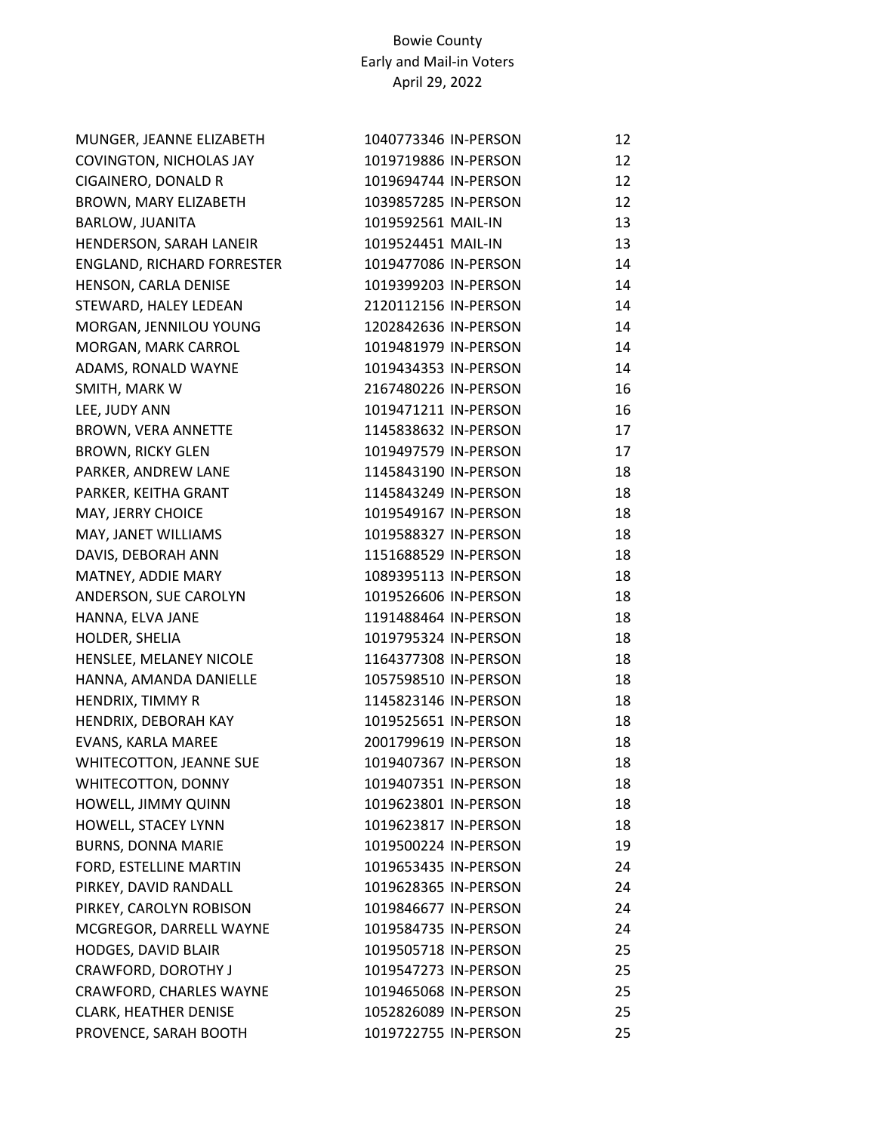| MUNGER, JEANNE ELIZABETH     | 1040773346 IN-PERSON | 12 |
|------------------------------|----------------------|----|
| COVINGTON, NICHOLAS JAY      | 1019719886 IN-PERSON | 12 |
| CIGAINERO, DONALD R          | 1019694744 IN-PERSON | 12 |
| BROWN, MARY ELIZABETH        | 1039857285 IN-PERSON | 12 |
| <b>BARLOW, JUANITA</b>       | 1019592561 MAIL-IN   | 13 |
| HENDERSON, SARAH LANEIR      | 1019524451 MAIL-IN   | 13 |
| ENGLAND, RICHARD FORRESTER   | 1019477086 IN-PERSON | 14 |
| HENSON, CARLA DENISE         | 1019399203 IN-PERSON | 14 |
| STEWARD, HALEY LEDEAN        | 2120112156 IN-PERSON | 14 |
| MORGAN, JENNILOU YOUNG       | 1202842636 IN-PERSON | 14 |
| MORGAN, MARK CARROL          | 1019481979 IN-PERSON | 14 |
| ADAMS, RONALD WAYNE          | 1019434353 IN-PERSON | 14 |
| SMITH, MARK W                | 2167480226 IN-PERSON | 16 |
| LEE, JUDY ANN                | 1019471211 IN-PERSON | 16 |
| <b>BROWN, VERA ANNETTE</b>   | 1145838632 IN-PERSON | 17 |
| <b>BROWN, RICKY GLEN</b>     | 1019497579 IN-PERSON | 17 |
| PARKER, ANDREW LANE          | 1145843190 IN-PERSON | 18 |
| PARKER, KEITHA GRANT         | 1145843249 IN-PERSON | 18 |
| MAY, JERRY CHOICE            | 1019549167 IN-PERSON | 18 |
| MAY, JANET WILLIAMS          | 1019588327 IN-PERSON | 18 |
| DAVIS, DEBORAH ANN           | 1151688529 IN-PERSON | 18 |
| MATNEY, ADDIE MARY           | 1089395113 IN-PERSON | 18 |
| ANDERSON, SUE CAROLYN        | 1019526606 IN-PERSON | 18 |
| HANNA, ELVA JANE             | 1191488464 IN-PERSON | 18 |
| HOLDER, SHELIA               | 1019795324 IN-PERSON | 18 |
| HENSLEE, MELANEY NICOLE      | 1164377308 IN-PERSON | 18 |
| HANNA, AMANDA DANIELLE       | 1057598510 IN-PERSON | 18 |
| HENDRIX, TIMMY R             | 1145823146 IN-PERSON | 18 |
| HENDRIX, DEBORAH KAY         | 1019525651 IN-PERSON | 18 |
| EVANS, KARLA MAREE           | 2001799619 IN-PERSON | 18 |
| WHITECOTTON, JEANNE SUE      | 1019407367 IN-PERSON | 18 |
| WHITECOTTON, DONNY           | 1019407351 IN-PERSON | 18 |
| HOWELL, JIMMY QUINN          | 1019623801 IN-PERSON | 18 |
| HOWELL, STACEY LYNN          | 1019623817 IN-PERSON | 18 |
| <b>BURNS, DONNA MARIE</b>    | 1019500224 IN-PERSON | 19 |
| FORD, ESTELLINE MARTIN       | 1019653435 IN-PERSON | 24 |
| PIRKEY, DAVID RANDALL        | 1019628365 IN-PERSON | 24 |
| PIRKEY, CAROLYN ROBISON      | 1019846677 IN-PERSON | 24 |
| MCGREGOR, DARRELL WAYNE      | 1019584735 IN-PERSON | 24 |
| <b>HODGES, DAVID BLAIR</b>   | 1019505718 IN-PERSON | 25 |
| CRAWFORD, DOROTHY J          | 1019547273 IN-PERSON | 25 |
| CRAWFORD, CHARLES WAYNE      | 1019465068 IN-PERSON | 25 |
| <b>CLARK, HEATHER DENISE</b> | 1052826089 IN-PERSON | 25 |
| PROVENCE, SARAH BOOTH        | 1019722755 IN-PERSON | 25 |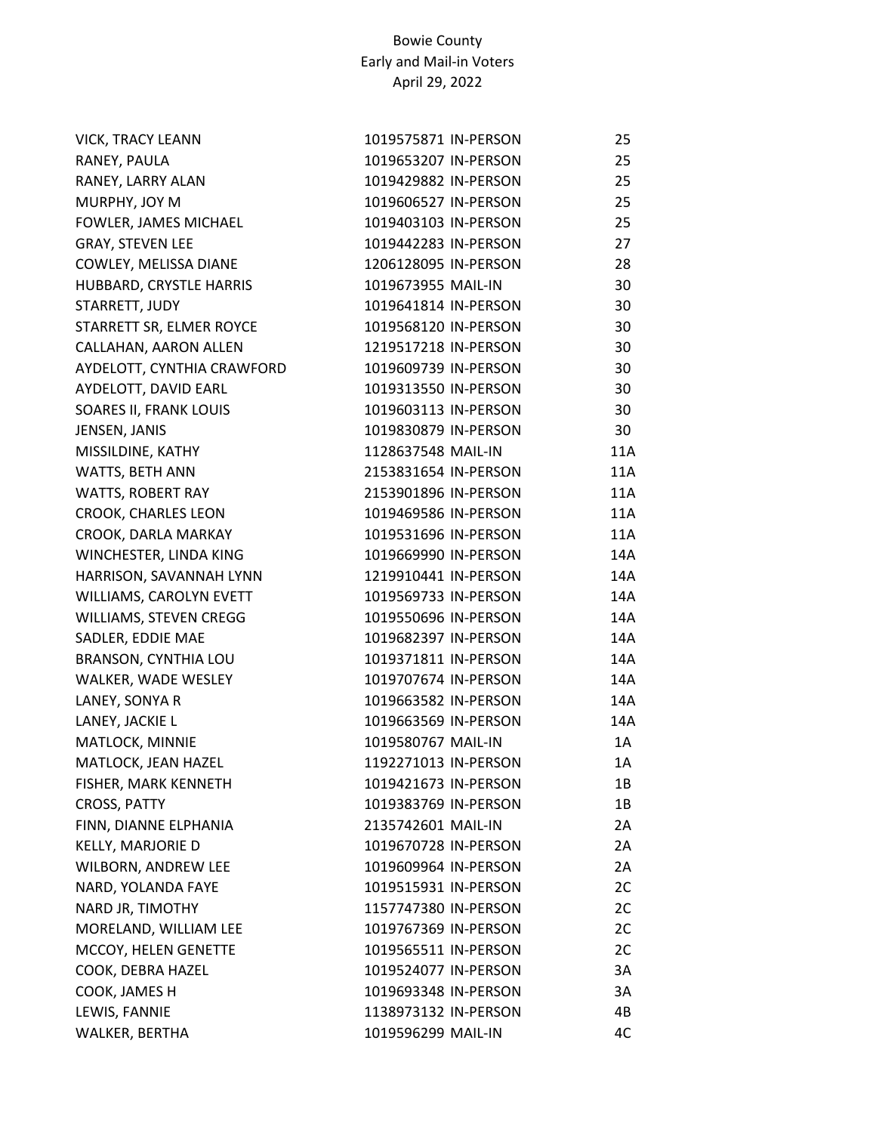| <b>VICK, TRACY LEANN</b>   | 1019575871 IN-PERSON | 25  |
|----------------------------|----------------------|-----|
| RANEY, PAULA               | 1019653207 IN-PERSON | 25  |
| RANEY, LARRY ALAN          | 1019429882 IN-PERSON | 25  |
| MURPHY, JOY M              | 1019606527 IN-PERSON | 25  |
| FOWLER, JAMES MICHAEL      | 1019403103 IN-PERSON | 25  |
| <b>GRAY, STEVEN LEE</b>    | 1019442283 IN-PERSON | 27  |
| COWLEY, MELISSA DIANE      | 1206128095 IN-PERSON | 28  |
| HUBBARD, CRYSTLE HARRIS    | 1019673955 MAIL-IN   | 30  |
| STARRETT, JUDY             | 1019641814 IN-PERSON | 30  |
| STARRETT SR, ELMER ROYCE   | 1019568120 IN-PERSON | 30  |
| CALLAHAN, AARON ALLEN      | 1219517218 IN-PERSON | 30  |
| AYDELOTT, CYNTHIA CRAWFORD | 1019609739 IN-PERSON | 30  |
| AYDELOTT, DAVID EARL       | 1019313550 IN-PERSON | 30  |
| SOARES II, FRANK LOUIS     | 1019603113 IN-PERSON | 30  |
| JENSEN, JANIS              | 1019830879 IN-PERSON | 30  |
| MISSILDINE, KATHY          | 1128637548 MAIL-IN   | 11A |
| WATTS, BETH ANN            | 2153831654 IN-PERSON | 11A |
| WATTS, ROBERT RAY          | 2153901896 IN-PERSON | 11A |
| <b>CROOK, CHARLES LEON</b> | 1019469586 IN-PERSON | 11A |
| CROOK, DARLA MARKAY        | 1019531696 IN-PERSON | 11A |
| WINCHESTER, LINDA KING     | 1019669990 IN-PERSON | 14A |
| HARRISON, SAVANNAH LYNN    | 1219910441 IN-PERSON | 14A |
| WILLIAMS, CAROLYN EVETT    | 1019569733 IN-PERSON | 14A |
| WILLIAMS, STEVEN CREGG     | 1019550696 IN-PERSON | 14A |
| SADLER, EDDIE MAE          | 1019682397 IN-PERSON | 14A |
| BRANSON, CYNTHIA LOU       | 1019371811 IN-PERSON | 14A |
| WALKER, WADE WESLEY        | 1019707674 IN-PERSON | 14A |
| LANEY, SONYA R             | 1019663582 IN-PERSON | 14A |
| LANEY, JACKIE L            | 1019663569 IN-PERSON | 14A |
| MATLOCK, MINNIE            | 1019580767 MAIL-IN   | 1A  |
| MATLOCK, JEAN HAZEL        | 1192271013 IN-PERSON | 1A  |
| FISHER, MARK KENNETH       | 1019421673 IN-PERSON | 1B  |
| <b>CROSS, PATTY</b>        | 1019383769 IN-PERSON | 1B  |
| FINN, DIANNE ELPHANIA      | 2135742601 MAIL-IN   | 2A  |
| KELLY, MARJORIE D          | 1019670728 IN-PERSON | 2A  |
| WILBORN, ANDREW LEE        | 1019609964 IN-PERSON | 2A  |
| NARD, YOLANDA FAYE         | 1019515931 IN-PERSON | 2C  |
| NARD JR, TIMOTHY           | 1157747380 IN-PERSON | 2C  |
| MORELAND, WILLIAM LEE      | 1019767369 IN-PERSON | 2C  |
| MCCOY, HELEN GENETTE       | 1019565511 IN-PERSON | 2C  |
| COOK, DEBRA HAZEL          | 1019524077 IN-PERSON | 3A  |
| COOK, JAMES H              | 1019693348 IN-PERSON | 3A  |
| LEWIS, FANNIE              | 1138973132 IN-PERSON | 4B  |
| WALKER, BERTHA             | 1019596299 MAIL-IN   | 4C  |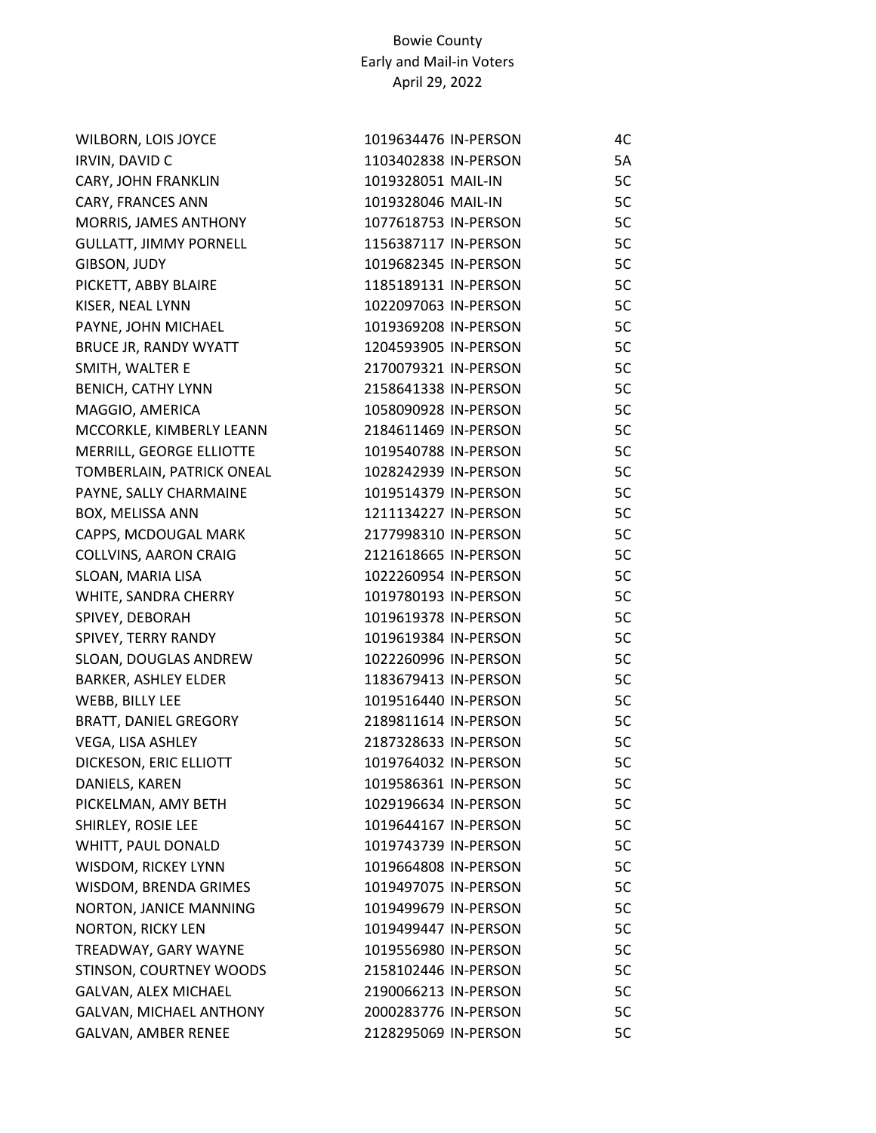| WILBORN, LOIS JOYCE           | 1019634476 IN-PERSON | 4C |
|-------------------------------|----------------------|----|
| <b>IRVIN, DAVID C</b>         | 1103402838 IN-PERSON | 5A |
| CARY, JOHN FRANKLIN           | 1019328051 MAIL-IN   | 5C |
| CARY, FRANCES ANN             | 1019328046 MAIL-IN   | 5C |
| MORRIS, JAMES ANTHONY         | 1077618753 IN-PERSON | 5C |
| <b>GULLATT, JIMMY PORNELL</b> | 1156387117 IN-PERSON | 5C |
| GIBSON, JUDY                  | 1019682345 IN-PERSON | 5C |
| PICKETT, ABBY BLAIRE          | 1185189131 IN-PERSON | 5C |
| KISER, NEAL LYNN              | 1022097063 IN-PERSON | 5C |
| PAYNE, JOHN MICHAEL           | 1019369208 IN-PERSON | 5C |
| BRUCE JR, RANDY WYATT         | 1204593905 IN-PERSON | 5C |
| SMITH, WALTER E               | 2170079321 IN-PERSON | 5C |
| <b>BENICH, CATHY LYNN</b>     | 2158641338 IN-PERSON | 5C |
| MAGGIO, AMERICA               | 1058090928 IN-PERSON | 5C |
| MCCORKLE, KIMBERLY LEANN      | 2184611469 IN-PERSON | 5C |
| MERRILL, GEORGE ELLIOTTE      | 1019540788 IN-PERSON | 5C |
| TOMBERLAIN, PATRICK ONEAL     | 1028242939 IN-PERSON | 5C |
| PAYNE, SALLY CHARMAINE        | 1019514379 IN-PERSON | 5C |
| BOX, MELISSA ANN              | 1211134227 IN-PERSON | 5C |
| CAPPS, MCDOUGAL MARK          | 2177998310 IN-PERSON | 5C |
| COLLVINS, AARON CRAIG         | 2121618665 IN-PERSON | 5C |
| SLOAN, MARIA LISA             | 1022260954 IN-PERSON | 5C |
| WHITE, SANDRA CHERRY          | 1019780193 IN-PERSON | 5C |
| SPIVEY, DEBORAH               | 1019619378 IN-PERSON | 5C |
| SPIVEY, TERRY RANDY           | 1019619384 IN-PERSON | 5C |
| SLOAN, DOUGLAS ANDREW         | 1022260996 IN-PERSON | 5C |
| <b>BARKER, ASHLEY ELDER</b>   | 1183679413 IN-PERSON | 5C |
| WEBB, BILLY LEE               | 1019516440 IN-PERSON | 5C |
| <b>BRATT, DANIEL GREGORY</b>  | 2189811614 IN-PERSON | 5C |
| VEGA, LISA ASHLEY             | 2187328633 IN-PERSON | 5C |
| DICKESON, ERIC ELLIOTT        | 1019764032 IN-PERSON | 5C |
| DANIELS, KAREN                | 1019586361 IN-PERSON | 5C |
| PICKELMAN, AMY BETH           | 1029196634 IN-PERSON | 5C |
| SHIRLEY, ROSIE LEE            | 1019644167 IN-PERSON | 5C |
| WHITT, PAUL DONALD            | 1019743739 IN-PERSON | 5C |
| WISDOM, RICKEY LYNN           | 1019664808 IN-PERSON | 5C |
| WISDOM, BRENDA GRIMES         | 1019497075 IN-PERSON | 5C |
| NORTON, JANICE MANNING        | 1019499679 IN-PERSON | 5C |
| <b>NORTON, RICKY LEN</b>      | 1019499447 IN-PERSON | 5C |
| TREADWAY, GARY WAYNE          | 1019556980 IN-PERSON | 5C |
| STINSON, COURTNEY WOODS       | 2158102446 IN-PERSON | 5C |
| GALVAN, ALEX MICHAEL          | 2190066213 IN-PERSON | 5C |
| GALVAN, MICHAEL ANTHONY       | 2000283776 IN-PERSON | 5C |
| GALVAN, AMBER RENEE           | 2128295069 IN-PERSON | 5C |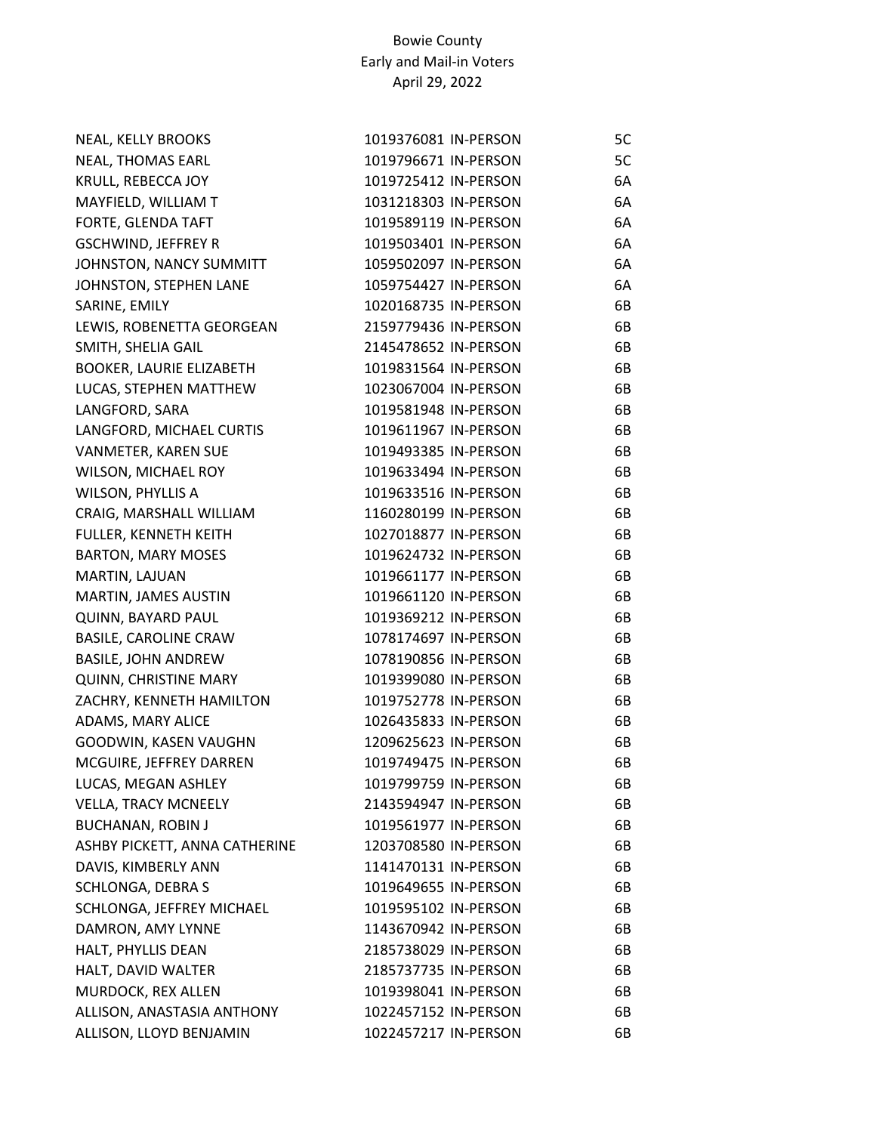| NEAL, KELLY BROOKS              | 1019376081 IN-PERSON | 5C |
|---------------------------------|----------------------|----|
| <b>NEAL, THOMAS EARL</b>        | 1019796671 IN-PERSON | 5C |
| KRULL, REBECCA JOY              | 1019725412 IN-PERSON | 6A |
| MAYFIELD, WILLIAM T             | 1031218303 IN-PERSON | 6A |
| FORTE, GLENDA TAFT              | 1019589119 IN-PERSON | 6A |
| <b>GSCHWIND, JEFFREY R</b>      | 1019503401 IN-PERSON | 6A |
| JOHNSTON, NANCY SUMMITT         | 1059502097 IN-PERSON | 6A |
| JOHNSTON, STEPHEN LANE          | 1059754427 IN-PERSON | 6A |
| SARINE, EMILY                   | 1020168735 IN-PERSON | 6B |
| LEWIS, ROBENETTA GEORGEAN       | 2159779436 IN-PERSON | 6B |
| SMITH, SHELIA GAIL              | 2145478652 IN-PERSON | 6B |
| <b>BOOKER, LAURIE ELIZABETH</b> | 1019831564 IN-PERSON | 6B |
| LUCAS, STEPHEN MATTHEW          | 1023067004 IN-PERSON | 6B |
| LANGFORD, SARA                  | 1019581948 IN-PERSON | 6B |
| LANGFORD, MICHAEL CURTIS        | 1019611967 IN-PERSON | 6B |
| VANMETER, KAREN SUE             | 1019493385 IN-PERSON | 6B |
| WILSON, MICHAEL ROY             | 1019633494 IN-PERSON | 6B |
| <b>WILSON, PHYLLIS A</b>        | 1019633516 IN-PERSON | 6B |
| CRAIG, MARSHALL WILLIAM         | 1160280199 IN-PERSON | 6B |
| FULLER, KENNETH KEITH           | 1027018877 IN-PERSON | 6B |
| <b>BARTON, MARY MOSES</b>       | 1019624732 IN-PERSON | 6B |
| MARTIN, LAJUAN                  | 1019661177 IN-PERSON | 6B |
| MARTIN, JAMES AUSTIN            | 1019661120 IN-PERSON | 6B |
| QUINN, BAYARD PAUL              | 1019369212 IN-PERSON | 6B |
| <b>BASILE, CAROLINE CRAW</b>    | 1078174697 IN-PERSON | 6B |
| <b>BASILE, JOHN ANDREW</b>      | 1078190856 IN-PERSON | 6B |
| <b>QUINN, CHRISTINE MARY</b>    | 1019399080 IN-PERSON | 6B |
| ZACHRY, KENNETH HAMILTON        | 1019752778 IN-PERSON | 6B |
| ADAMS, MARY ALICE               | 1026435833 IN-PERSON | 6B |
| GOODWIN, KASEN VAUGHN           | 1209625623 IN-PERSON | 6B |
| MCGUIRE, JEFFREY DARREN         | 1019749475 IN-PERSON | 6B |
| LUCAS, MEGAN ASHLEY             | 1019799759 IN-PERSON | 6B |
| <b>VELLA, TRACY MCNEELY</b>     | 2143594947 IN-PERSON | 6B |
| <b>BUCHANAN, ROBIN J</b>        | 1019561977 IN-PERSON | 6B |
| ASHBY PICKETT, ANNA CATHERINE   | 1203708580 IN-PERSON | 6B |
| DAVIS, KIMBERLY ANN             | 1141470131 IN-PERSON | 6B |
| SCHLONGA, DEBRA S               | 1019649655 IN-PERSON | 6B |
| SCHLONGA, JEFFREY MICHAEL       | 1019595102 IN-PERSON | 6B |
| DAMRON, AMY LYNNE               | 1143670942 IN-PERSON | 6B |
| HALT, PHYLLIS DEAN              | 2185738029 IN-PERSON | 6B |
| HALT, DAVID WALTER              | 2185737735 IN-PERSON | 6B |
| MURDOCK, REX ALLEN              | 1019398041 IN-PERSON | 6B |
| ALLISON, ANASTASIA ANTHONY      | 1022457152 IN-PERSON | 6B |
| ALLISON, LLOYD BENJAMIN         | 1022457217 IN-PERSON | 6B |